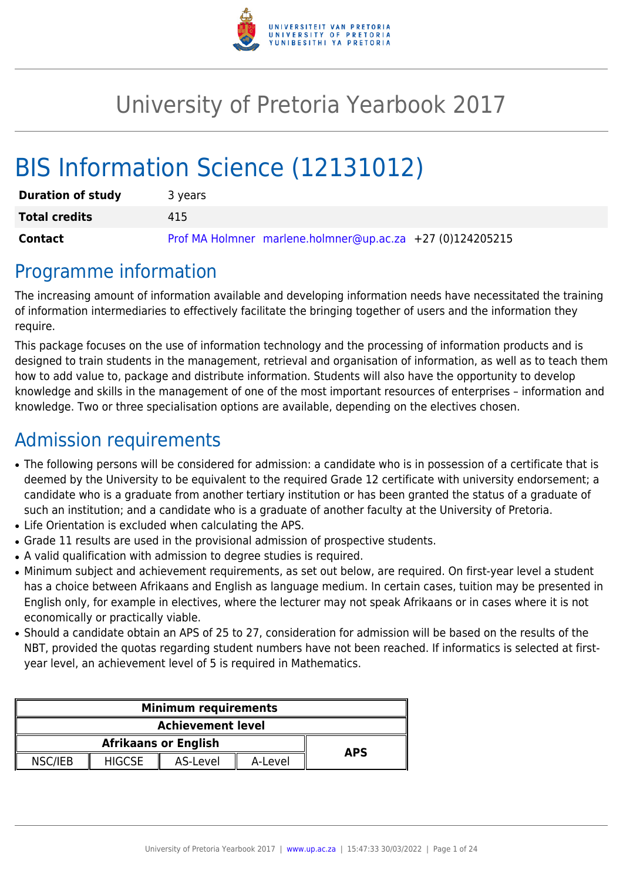

# University of Pretoria Yearbook 2017

# BIS Information Science (12131012)

| <b>Duration of study</b> | 3 years                                                   |
|--------------------------|-----------------------------------------------------------|
| <b>Total credits</b>     | 415                                                       |
| Contact                  | Prof MA Holmner marlene.holmner@up.ac.za +27 (0)124205215 |

# Programme information

The increasing amount of information available and developing information needs have necessitated the training of information intermediaries to effectively facilitate the bringing together of users and the information they require.

This package focuses on the use of information technology and the processing of information products and is designed to train students in the management, retrieval and organisation of information, as well as to teach them how to add value to, package and distribute information. Students will also have the opportunity to develop knowledge and skills in the management of one of the most important resources of enterprises – information and knowledge. Two or three specialisation options are available, depending on the electives chosen.

# Admission requirements

- The following persons will be considered for admission: a candidate who is in possession of a certificate that is deemed by the University to be equivalent to the required Grade 12 certificate with university endorsement; a candidate who is a graduate from another tertiary institution or has been granted the status of a graduate of such an institution; and a candidate who is a graduate of another faculty at the University of Pretoria.
- Life Orientation is excluded when calculating the APS.
- Grade 11 results are used in the provisional admission of prospective students.
- A valid qualification with admission to degree studies is required.
- Minimum subject and achievement requirements, as set out below, are required. On first-year level a student has a choice between Afrikaans and English as language medium. In certain cases, tuition may be presented in English only, for example in electives, where the lecturer may not speak Afrikaans or in cases where it is not economically or practically viable.
- Should a candidate obtain an APS of 25 to 27, consideration for admission will be based on the results of the NBT, provided the quotas regarding student numbers have not been reached. If informatics is selected at firstyear level, an achievement level of 5 is required in Mathematics.

| <b>Minimum requirements</b>               |               |          |         |  |
|-------------------------------------------|---------------|----------|---------|--|
| <b>Achievement level</b>                  |               |          |         |  |
| <b>Afrikaans or English</b><br><b>APS</b> |               |          |         |  |
| NSC/IEB                                   | <b>HIGCSE</b> | AS-Level | A-Level |  |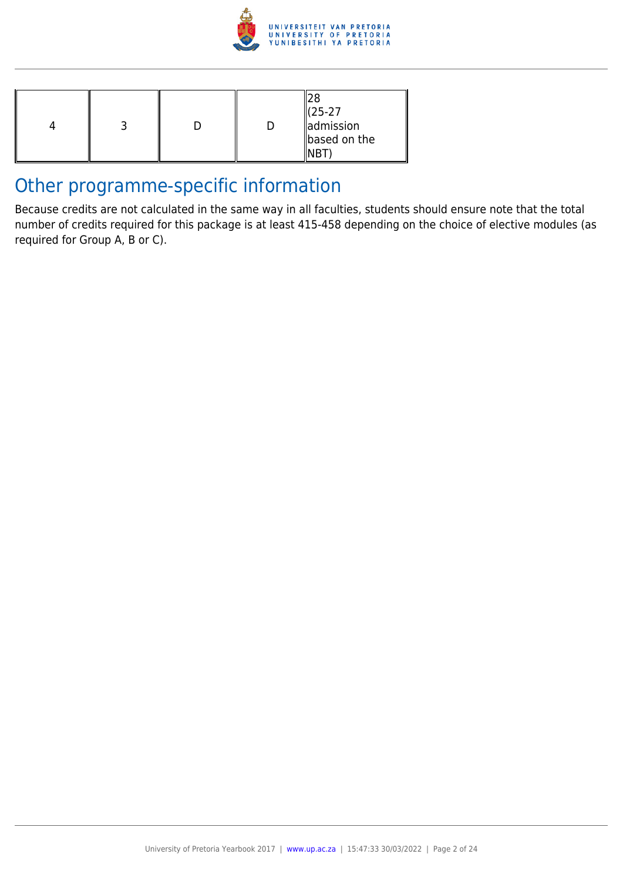

|  |  |  |  | (25-27<br>admission<br>based on the |
|--|--|--|--|-------------------------------------|
|--|--|--|--|-------------------------------------|

# Other programme-specific information

Because credits are not calculated in the same way in all faculties, students should ensure note that the total number of credits required for this package is at least 415-458 depending on the choice of elective modules (as required for Group A, B or C).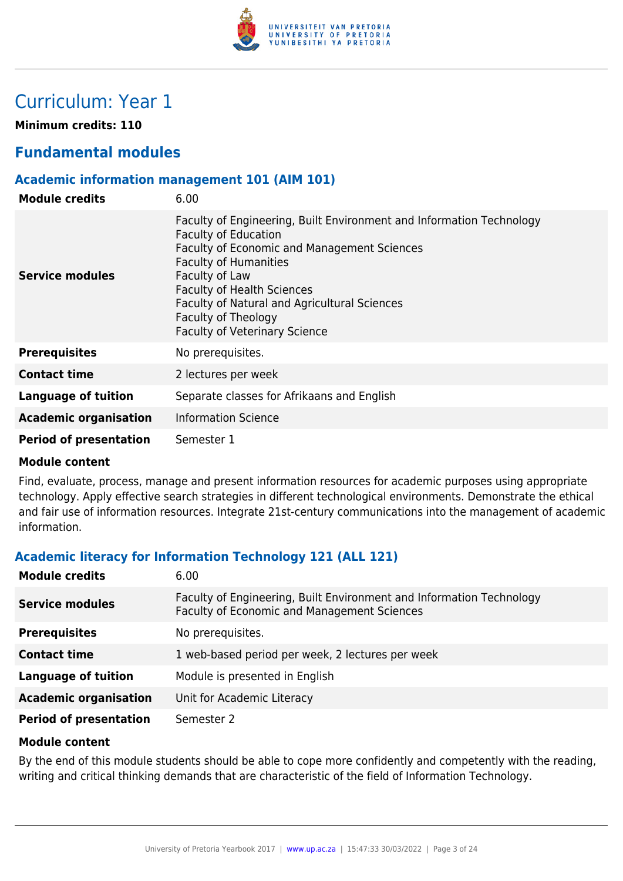

# Curriculum: Year 1

**Minimum credits: 110**

## **Fundamental modules**

#### **Academic information management 101 (AIM 101)**

| <b>Module credits</b>         | 6.00                                                                                                                                                                                                                                                                                                                                                     |
|-------------------------------|----------------------------------------------------------------------------------------------------------------------------------------------------------------------------------------------------------------------------------------------------------------------------------------------------------------------------------------------------------|
| <b>Service modules</b>        | Faculty of Engineering, Built Environment and Information Technology<br><b>Faculty of Education</b><br>Faculty of Economic and Management Sciences<br><b>Faculty of Humanities</b><br>Faculty of Law<br><b>Faculty of Health Sciences</b><br>Faculty of Natural and Agricultural Sciences<br>Faculty of Theology<br><b>Faculty of Veterinary Science</b> |
| <b>Prerequisites</b>          | No prerequisites.                                                                                                                                                                                                                                                                                                                                        |
| <b>Contact time</b>           | 2 lectures per week                                                                                                                                                                                                                                                                                                                                      |
| Language of tuition           | Separate classes for Afrikaans and English                                                                                                                                                                                                                                                                                                               |
| <b>Academic organisation</b>  | <b>Information Science</b>                                                                                                                                                                                                                                                                                                                               |
| <b>Period of presentation</b> | Semester 1                                                                                                                                                                                                                                                                                                                                               |

#### **Module content**

Find, evaluate, process, manage and present information resources for academic purposes using appropriate technology. Apply effective search strategies in different technological environments. Demonstrate the ethical and fair use of information resources. Integrate 21st-century communications into the management of academic information.

#### **Academic literacy for Information Technology 121 (ALL 121)**

| <b>Module credits</b>         | 6.00                                                                                                                |
|-------------------------------|---------------------------------------------------------------------------------------------------------------------|
| <b>Service modules</b>        | Faculty of Engineering, Built Environment and Information Technology<br>Faculty of Economic and Management Sciences |
| <b>Prerequisites</b>          | No prerequisites.                                                                                                   |
| <b>Contact time</b>           | 1 web-based period per week, 2 lectures per week                                                                    |
| <b>Language of tuition</b>    | Module is presented in English                                                                                      |
| <b>Academic organisation</b>  | Unit for Academic Literacy                                                                                          |
| <b>Period of presentation</b> | Semester 2                                                                                                          |

#### **Module content**

By the end of this module students should be able to cope more confidently and competently with the reading, writing and critical thinking demands that are characteristic of the field of Information Technology.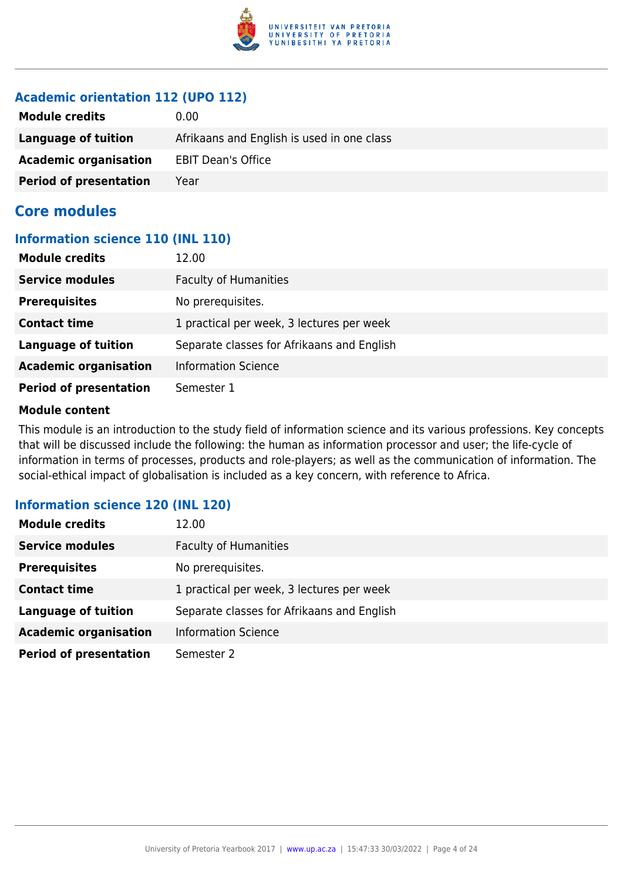

#### **Academic orientation 112 (UPO 112)**

| <b>Module credits</b>         | 0.00                                       |
|-------------------------------|--------------------------------------------|
| Language of tuition           | Afrikaans and English is used in one class |
| <b>Academic organisation</b>  | <b>EBIT Dean's Office</b>                  |
| <b>Period of presentation</b> | Year                                       |

### **Core modules**

#### **Information science 110 (INL 110)**

| <b>Module credits</b>         | 12.00                                      |
|-------------------------------|--------------------------------------------|
| <b>Service modules</b>        | <b>Faculty of Humanities</b>               |
| <b>Prerequisites</b>          | No prerequisites.                          |
| <b>Contact time</b>           | 1 practical per week, 3 lectures per week  |
| <b>Language of tuition</b>    | Separate classes for Afrikaans and English |
| <b>Academic organisation</b>  | <b>Information Science</b>                 |
| <b>Period of presentation</b> | Semester 1                                 |

#### **Module content**

This module is an introduction to the study field of information science and its various professions. Key concepts that will be discussed include the following: the human as information processor and user; the life-cycle of information in terms of processes, products and role-players; as well as the communication of information. The social-ethical impact of globalisation is included as a key concern, with reference to Africa.

#### **Information science 120 (INL 120)**

| <b>Module credits</b>         | 12.00                                      |
|-------------------------------|--------------------------------------------|
| <b>Service modules</b>        | <b>Faculty of Humanities</b>               |
| <b>Prerequisites</b>          | No prerequisites.                          |
| <b>Contact time</b>           | 1 practical per week, 3 lectures per week  |
| <b>Language of tuition</b>    | Separate classes for Afrikaans and English |
| <b>Academic organisation</b>  | <b>Information Science</b>                 |
| <b>Period of presentation</b> | Semester 2                                 |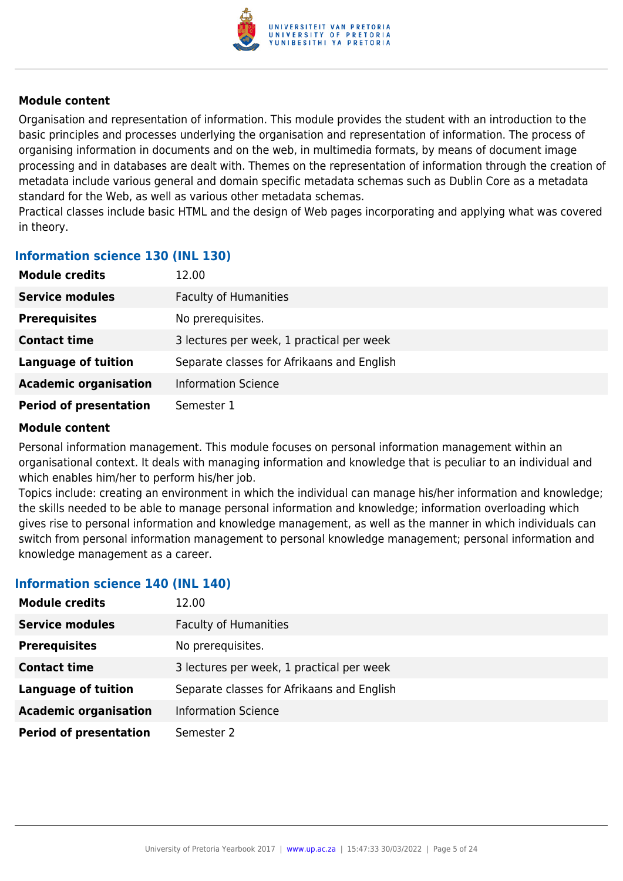

Organisation and representation of information. This module provides the student with an introduction to the basic principles and processes underlying the organisation and representation of information. The process of organising information in documents and on the web, in multimedia formats, by means of document image processing and in databases are dealt with. Themes on the representation of information through the creation of metadata include various general and domain specific metadata schemas such as Dublin Core as a metadata standard for the Web, as well as various other metadata schemas.

Practical classes include basic HTML and the design of Web pages incorporating and applying what was covered in theory.

#### **Information science 130 (INL 130)**

| <b>Module credits</b>         | 12.00                                      |
|-------------------------------|--------------------------------------------|
| <b>Service modules</b>        | <b>Faculty of Humanities</b>               |
| <b>Prerequisites</b>          | No prerequisites.                          |
| <b>Contact time</b>           | 3 lectures per week, 1 practical per week  |
| <b>Language of tuition</b>    | Separate classes for Afrikaans and English |
| <b>Academic organisation</b>  | <b>Information Science</b>                 |
| <b>Period of presentation</b> | Semester 1                                 |

#### **Module content**

Personal information management. This module focuses on personal information management within an organisational context. It deals with managing information and knowledge that is peculiar to an individual and which enables him/her to perform his/her job.

Topics include: creating an environment in which the individual can manage his/her information and knowledge; the skills needed to be able to manage personal information and knowledge; information overloading which gives rise to personal information and knowledge management, as well as the manner in which individuals can switch from personal information management to personal knowledge management; personal information and knowledge management as a career.

#### **Information science 140 (INL 140)**

| <b>Module credits</b>         | 12.00                                      |
|-------------------------------|--------------------------------------------|
| <b>Service modules</b>        | <b>Faculty of Humanities</b>               |
| <b>Prerequisites</b>          | No prerequisites.                          |
| <b>Contact time</b>           | 3 lectures per week, 1 practical per week  |
| <b>Language of tuition</b>    | Separate classes for Afrikaans and English |
| <b>Academic organisation</b>  | <b>Information Science</b>                 |
| <b>Period of presentation</b> | Semester 2                                 |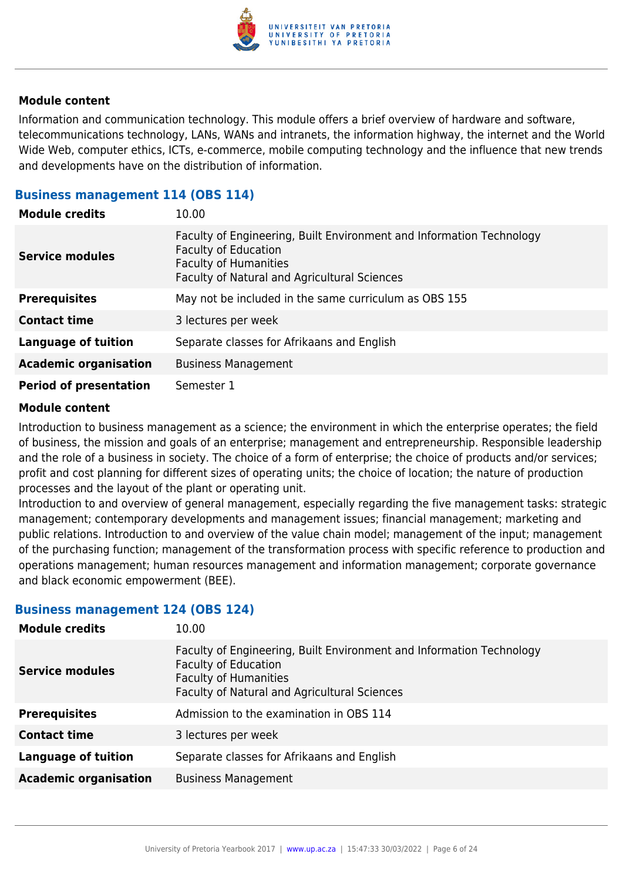

Information and communication technology. This module offers a brief overview of hardware and software, telecommunications technology, LANs, WANs and intranets, the information highway, the internet and the World Wide Web, computer ethics, ICTs, e-commerce, mobile computing technology and the influence that new trends and developments have on the distribution of information.

#### **Business management 114 (OBS 114)**

| <b>Module credits</b>         | 10.00                                                                                                                                                                                      |  |
|-------------------------------|--------------------------------------------------------------------------------------------------------------------------------------------------------------------------------------------|--|
| <b>Service modules</b>        | Faculty of Engineering, Built Environment and Information Technology<br><b>Faculty of Education</b><br><b>Faculty of Humanities</b><br><b>Faculty of Natural and Agricultural Sciences</b> |  |
| <b>Prerequisites</b>          | May not be included in the same curriculum as OBS 155                                                                                                                                      |  |
| <b>Contact time</b>           | 3 lectures per week                                                                                                                                                                        |  |
| <b>Language of tuition</b>    | Separate classes for Afrikaans and English                                                                                                                                                 |  |
| <b>Academic organisation</b>  | <b>Business Management</b>                                                                                                                                                                 |  |
| <b>Period of presentation</b> | Semester 1                                                                                                                                                                                 |  |

#### **Module content**

Introduction to business management as a science; the environment in which the enterprise operates; the field of business, the mission and goals of an enterprise; management and entrepreneurship. Responsible leadership and the role of a business in society. The choice of a form of enterprise; the choice of products and/or services; profit and cost planning for different sizes of operating units; the choice of location; the nature of production processes and the layout of the plant or operating unit.

Introduction to and overview of general management, especially regarding the five management tasks: strategic management; contemporary developments and management issues; financial management; marketing and public relations. Introduction to and overview of the value chain model; management of the input; management of the purchasing function; management of the transformation process with specific reference to production and operations management; human resources management and information management; corporate governance and black economic empowerment (BEE).

#### **Business management 124 (OBS 124)**

| <b>Module credits</b>        | 10.00                                                                                                                                                                               |
|------------------------------|-------------------------------------------------------------------------------------------------------------------------------------------------------------------------------------|
| <b>Service modules</b>       | Faculty of Engineering, Built Environment and Information Technology<br><b>Faculty of Education</b><br><b>Faculty of Humanities</b><br>Faculty of Natural and Agricultural Sciences |
| <b>Prerequisites</b>         | Admission to the examination in OBS 114                                                                                                                                             |
| <b>Contact time</b>          | 3 lectures per week                                                                                                                                                                 |
| <b>Language of tuition</b>   | Separate classes for Afrikaans and English                                                                                                                                          |
| <b>Academic organisation</b> | <b>Business Management</b>                                                                                                                                                          |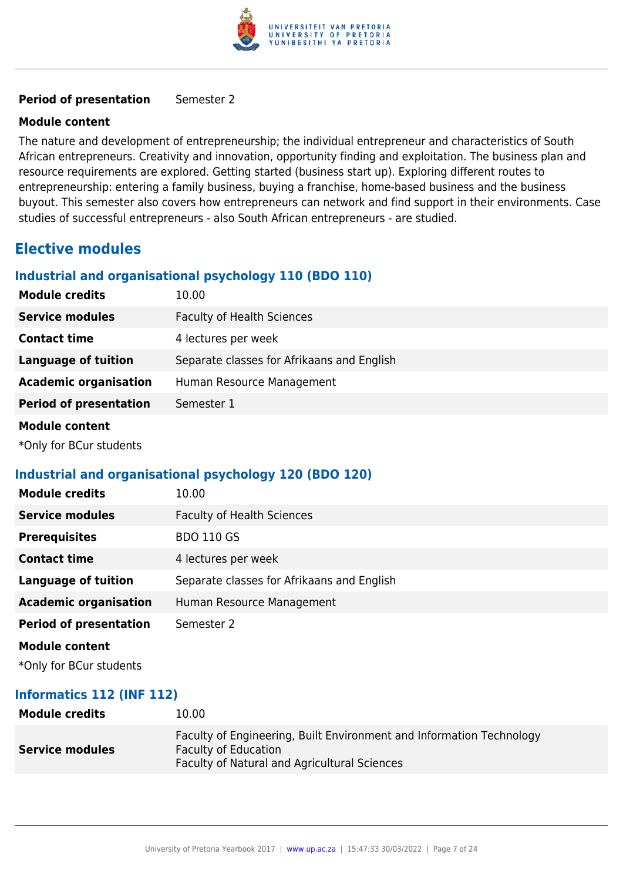

#### **Period of presentation** Semester 2

#### **Module content**

The nature and development of entrepreneurship; the individual entrepreneur and characteristics of South African entrepreneurs. Creativity and innovation, opportunity finding and exploitation. The business plan and resource requirements are explored. Getting started (business start up). Exploring different routes to entrepreneurship: entering a family business, buying a franchise, home-based business and the business buyout. This semester also covers how entrepreneurs can network and find support in their environments. Case studies of successful entrepreneurs - also South African entrepreneurs - are studied.

### **Elective modules**

#### **Industrial and organisational psychology 110 (BDO 110)**

| <b>Module credits</b>         | 10.00                                      |
|-------------------------------|--------------------------------------------|
| <b>Service modules</b>        | <b>Faculty of Health Sciences</b>          |
| <b>Contact time</b>           | 4 lectures per week                        |
| <b>Language of tuition</b>    | Separate classes for Afrikaans and English |
| <b>Academic organisation</b>  | Human Resource Management                  |
| <b>Period of presentation</b> | Semester 1                                 |
| <b>Module content</b>         |                                            |

\*Only for BCur students

#### **Industrial and organisational psychology 120 (BDO 120)**

| <b>Module credits</b>         | 10.00                                      |
|-------------------------------|--------------------------------------------|
| <b>Service modules</b>        | <b>Faculty of Health Sciences</b>          |
| <b>Prerequisites</b>          | <b>BDO 110 GS</b>                          |
| <b>Contact time</b>           | 4 lectures per week                        |
| <b>Language of tuition</b>    | Separate classes for Afrikaans and English |
| <b>Academic organisation</b>  | Human Resource Management                  |
| <b>Period of presentation</b> | Semester 2                                 |
| <b>Module content</b>         |                                            |
|                               |                                            |

\*Only for BCur students

#### **Informatics 112 (INF 112)**

| <b>Module credits</b>  | 10.00                                                                                                                                                      |
|------------------------|------------------------------------------------------------------------------------------------------------------------------------------------------------|
| <b>Service modules</b> | Faculty of Engineering, Built Environment and Information Technology<br><b>Faculty of Education</b><br><b>Faculty of Natural and Agricultural Sciences</b> |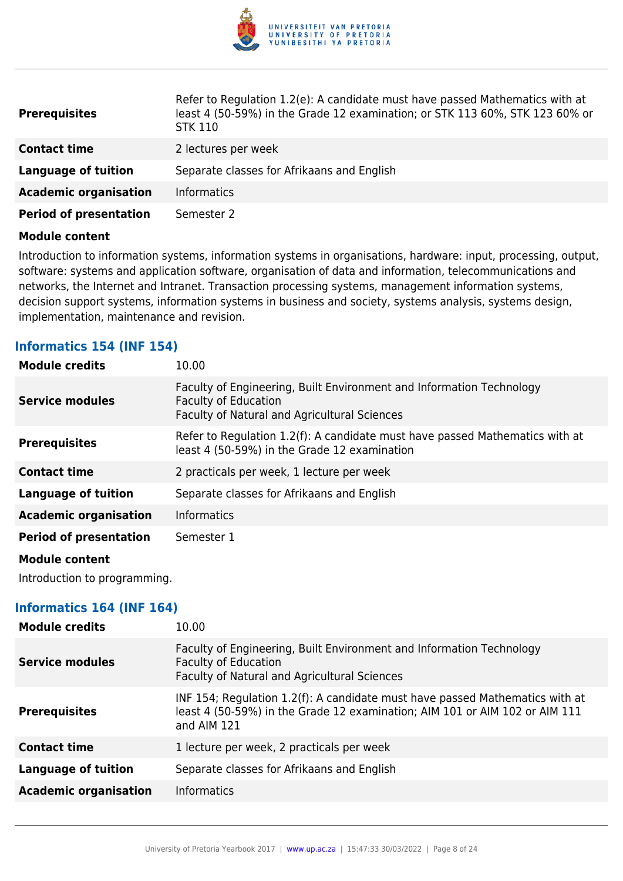

| <b>Prerequisites</b>          | Refer to Regulation 1.2(e): A candidate must have passed Mathematics with at<br>least 4 (50-59%) in the Grade 12 examination; or STK 113 60%, STK 123 60% or<br><b>STK 110</b> |
|-------------------------------|--------------------------------------------------------------------------------------------------------------------------------------------------------------------------------|
| <b>Contact time</b>           | 2 lectures per week                                                                                                                                                            |
| <b>Language of tuition</b>    | Separate classes for Afrikaans and English                                                                                                                                     |
| <b>Academic organisation</b>  | <b>Informatics</b>                                                                                                                                                             |
| <b>Period of presentation</b> | Semester 2                                                                                                                                                                     |

Introduction to information systems, information systems in organisations, hardware: input, processing, output, software: systems and application software, organisation of data and information, telecommunications and networks, the Internet and Intranet. Transaction processing systems, management information systems, decision support systems, information systems in business and society, systems analysis, systems design, implementation, maintenance and revision.

#### **Informatics 154 (INF 154)**

| <b>Module credits</b>         | 10.00                                                                                                                                               |
|-------------------------------|-----------------------------------------------------------------------------------------------------------------------------------------------------|
| <b>Service modules</b>        | Faculty of Engineering, Built Environment and Information Technology<br><b>Faculty of Education</b><br>Faculty of Natural and Agricultural Sciences |
| <b>Prerequisites</b>          | Refer to Regulation 1.2(f): A candidate must have passed Mathematics with at<br>least 4 (50-59%) in the Grade 12 examination                        |
| <b>Contact time</b>           | 2 practicals per week, 1 lecture per week                                                                                                           |
| <b>Language of tuition</b>    | Separate classes for Afrikaans and English                                                                                                          |
| <b>Academic organisation</b>  | <b>Informatics</b>                                                                                                                                  |
| <b>Period of presentation</b> | Semester 1                                                                                                                                          |
| <b>Module content</b>         |                                                                                                                                                     |

Introduction to programming.

#### **Informatics 164 (INF 164)**

| <b>Module credits</b>        | 10.00                                                                                                                                                                      |
|------------------------------|----------------------------------------------------------------------------------------------------------------------------------------------------------------------------|
| <b>Service modules</b>       | Faculty of Engineering, Built Environment and Information Technology<br><b>Faculty of Education</b><br>Faculty of Natural and Agricultural Sciences                        |
| <b>Prerequisites</b>         | INF 154; Regulation 1.2(f): A candidate must have passed Mathematics with at<br>least 4 (50-59%) in the Grade 12 examination; AIM 101 or AIM 102 or AIM 111<br>and AIM 121 |
| <b>Contact time</b>          | 1 lecture per week, 2 practicals per week                                                                                                                                  |
| <b>Language of tuition</b>   | Separate classes for Afrikaans and English                                                                                                                                 |
| <b>Academic organisation</b> | <b>Informatics</b>                                                                                                                                                         |
|                              |                                                                                                                                                                            |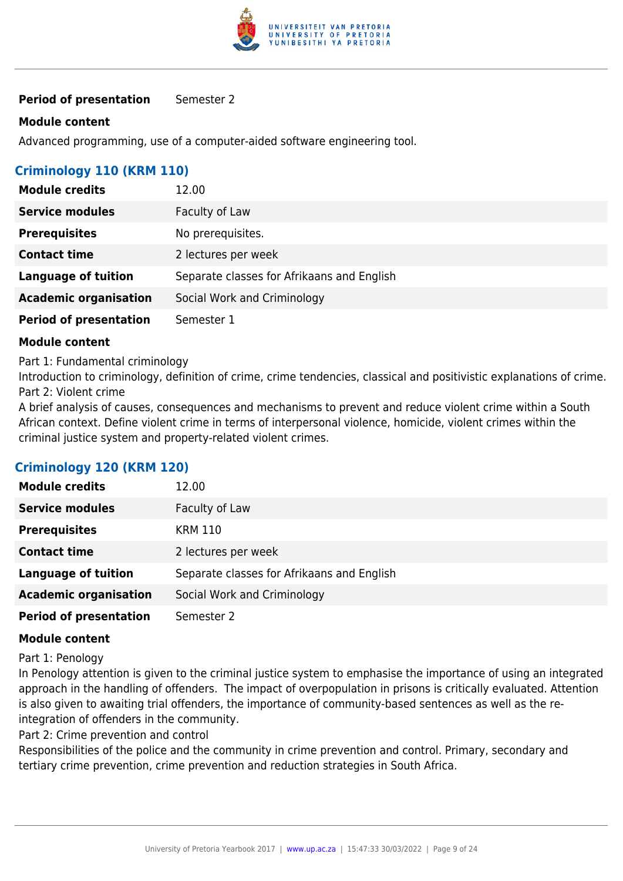

#### **Period of presentation** Semester 2

#### **Module content**

Advanced programming, use of a computer-aided software engineering tool.

#### **Criminology 110 (KRM 110)**

| <b>Module credits</b>         | 12.00                                      |
|-------------------------------|--------------------------------------------|
| <b>Service modules</b>        | Faculty of Law                             |
| <b>Prerequisites</b>          | No prerequisites.                          |
| <b>Contact time</b>           | 2 lectures per week                        |
| <b>Language of tuition</b>    | Separate classes for Afrikaans and English |
| <b>Academic organisation</b>  | Social Work and Criminology                |
| <b>Period of presentation</b> | Semester 1                                 |

#### **Module content**

Part 1: Fundamental criminology

Introduction to criminology, definition of crime, crime tendencies, classical and positivistic explanations of crime. Part 2: Violent crime

A brief analysis of causes, consequences and mechanisms to prevent and reduce violent crime within a South African context. Define violent crime in terms of interpersonal violence, homicide, violent crimes within the criminal justice system and property-related violent crimes.

#### **Criminology 120 (KRM 120)**

| <b>Module credits</b>         | 12.00                                      |
|-------------------------------|--------------------------------------------|
| <b>Service modules</b>        | Faculty of Law                             |
| <b>Prerequisites</b>          | <b>KRM 110</b>                             |
| <b>Contact time</b>           | 2 lectures per week                        |
| <b>Language of tuition</b>    | Separate classes for Afrikaans and English |
| <b>Academic organisation</b>  | Social Work and Criminology                |
| <b>Period of presentation</b> | Semester 2                                 |

#### **Module content**

Part 1: Penology

In Penology attention is given to the criminal justice system to emphasise the importance of using an integrated approach in the handling of offenders. The impact of overpopulation in prisons is critically evaluated. Attention is also given to awaiting trial offenders, the importance of community-based sentences as well as the reintegration of offenders in the community.

Part 2: Crime prevention and control

Responsibilities of the police and the community in crime prevention and control. Primary, secondary and tertiary crime prevention, crime prevention and reduction strategies in South Africa.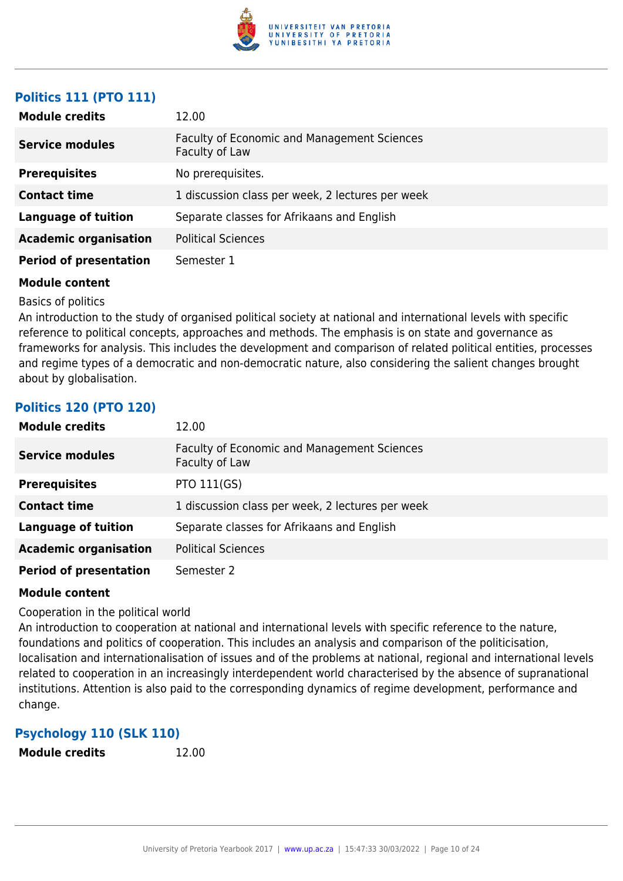

#### **Politics 111 (PTO 111)**

| <b>Module credits</b>         | 12.00                                                                |
|-------------------------------|----------------------------------------------------------------------|
| <b>Service modules</b>        | <b>Faculty of Economic and Management Sciences</b><br>Faculty of Law |
| <b>Prerequisites</b>          | No prerequisites.                                                    |
| <b>Contact time</b>           | 1 discussion class per week, 2 lectures per week                     |
| Language of tuition           | Separate classes for Afrikaans and English                           |
| <b>Academic organisation</b>  | <b>Political Sciences</b>                                            |
| <b>Period of presentation</b> | Semester 1                                                           |

#### **Module content**

Basics of politics

An introduction to the study of organised political society at national and international levels with specific reference to political concepts, approaches and methods. The emphasis is on state and governance as frameworks for analysis. This includes the development and comparison of related political entities, processes and regime types of a democratic and non-democratic nature, also considering the salient changes brought about by globalisation.

#### **Politics 120 (PTO 120)**

| <b>Module credits</b>         | 12.00                                                                |
|-------------------------------|----------------------------------------------------------------------|
| <b>Service modules</b>        | <b>Faculty of Economic and Management Sciences</b><br>Faculty of Law |
| <b>Prerequisites</b>          | <b>PTO 111(GS)</b>                                                   |
| <b>Contact time</b>           | 1 discussion class per week, 2 lectures per week                     |
| <b>Language of tuition</b>    | Separate classes for Afrikaans and English                           |
| <b>Academic organisation</b>  | <b>Political Sciences</b>                                            |
| <b>Period of presentation</b> | Semester 2                                                           |

#### **Module content**

#### Cooperation in the political world

An introduction to cooperation at national and international levels with specific reference to the nature, foundations and politics of cooperation. This includes an analysis and comparison of the politicisation, localisation and internationalisation of issues and of the problems at national, regional and international levels related to cooperation in an increasingly interdependent world characterised by the absence of supranational institutions. Attention is also paid to the corresponding dynamics of regime development, performance and change.

#### **Psychology 110 (SLK 110)**

**Module credits** 12.00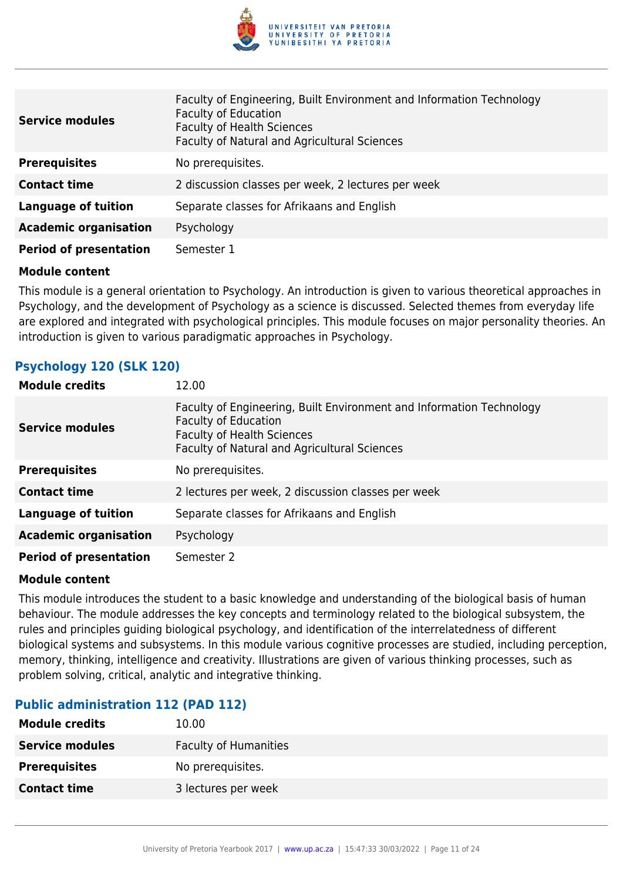

| <b>Service modules</b>        | Faculty of Engineering, Built Environment and Information Technology<br><b>Faculty of Education</b><br><b>Faculty of Health Sciences</b><br>Faculty of Natural and Agricultural Sciences |
|-------------------------------|------------------------------------------------------------------------------------------------------------------------------------------------------------------------------------------|
| <b>Prerequisites</b>          | No prerequisites.                                                                                                                                                                        |
| <b>Contact time</b>           | 2 discussion classes per week, 2 lectures per week                                                                                                                                       |
| Language of tuition           | Separate classes for Afrikaans and English                                                                                                                                               |
| <b>Academic organisation</b>  | Psychology                                                                                                                                                                               |
| <b>Period of presentation</b> | Semester 1                                                                                                                                                                               |

This module is a general orientation to Psychology. An introduction is given to various theoretical approaches in Psychology, and the development of Psychology as a science is discussed. Selected themes from everyday life are explored and integrated with psychological principles. This module focuses on major personality theories. An introduction is given to various paradigmatic approaches in Psychology.

#### **Psychology 120 (SLK 120)**

| <b>Module credits</b>         | 12.00                                                                                                                                                                                    |
|-------------------------------|------------------------------------------------------------------------------------------------------------------------------------------------------------------------------------------|
| <b>Service modules</b>        | Faculty of Engineering, Built Environment and Information Technology<br><b>Faculty of Education</b><br><b>Faculty of Health Sciences</b><br>Faculty of Natural and Agricultural Sciences |
| <b>Prerequisites</b>          | No prerequisites.                                                                                                                                                                        |
| <b>Contact time</b>           | 2 lectures per week, 2 discussion classes per week                                                                                                                                       |
| <b>Language of tuition</b>    | Separate classes for Afrikaans and English                                                                                                                                               |
| <b>Academic organisation</b>  | Psychology                                                                                                                                                                               |
| <b>Period of presentation</b> | Semester 2                                                                                                                                                                               |

#### **Module content**

This module introduces the student to a basic knowledge and understanding of the biological basis of human behaviour. The module addresses the key concepts and terminology related to the biological subsystem, the rules and principles guiding biological psychology, and identification of the interrelatedness of different biological systems and subsystems. In this module various cognitive processes are studied, including perception, memory, thinking, intelligence and creativity. Illustrations are given of various thinking processes, such as problem solving, critical, analytic and integrative thinking.

#### **Public administration 112 (PAD 112)**

| <b>Module credits</b>  | 10.00                        |
|------------------------|------------------------------|
| <b>Service modules</b> | <b>Faculty of Humanities</b> |
| <b>Prerequisites</b>   | No prerequisites.            |
| <b>Contact time</b>    | 3 lectures per week          |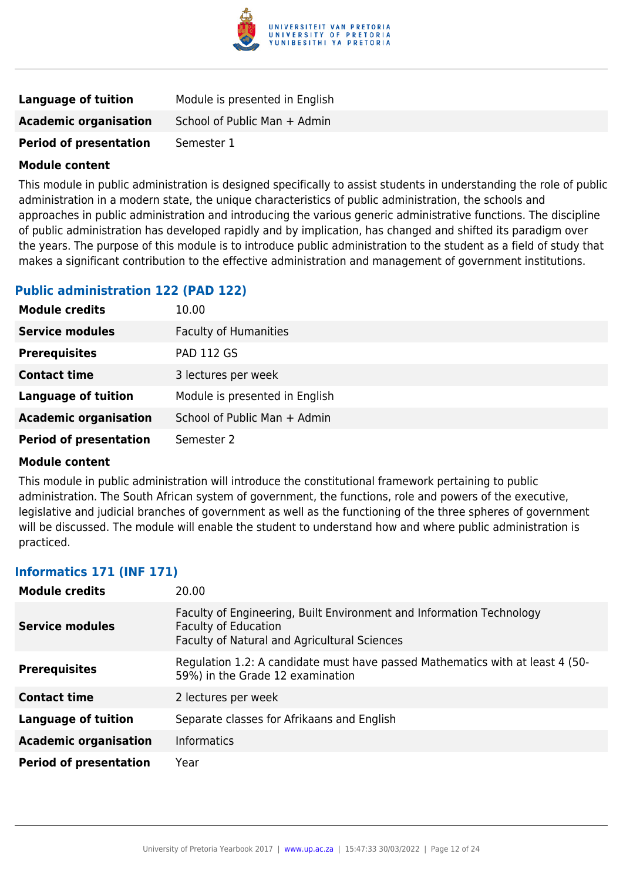

| Language of tuition           | Module is presented in English |
|-------------------------------|--------------------------------|
| <b>Academic organisation</b>  | School of Public Man + Admin   |
| <b>Period of presentation</b> | Semester 1                     |

This module in public administration is designed specifically to assist students in understanding the role of public administration in a modern state, the unique characteristics of public administration, the schools and approaches in public administration and introducing the various generic administrative functions. The discipline of public administration has developed rapidly and by implication, has changed and shifted its paradigm over the years. The purpose of this module is to introduce public administration to the student as a field of study that makes a significant contribution to the effective administration and management of government institutions.

#### **Public administration 122 (PAD 122)**

| <b>Module credits</b>         | 10.00                          |
|-------------------------------|--------------------------------|
| <b>Service modules</b>        | <b>Faculty of Humanities</b>   |
| <b>Prerequisites</b>          | <b>PAD 112 GS</b>              |
| <b>Contact time</b>           | 3 lectures per week            |
| <b>Language of tuition</b>    | Module is presented in English |
| <b>Academic organisation</b>  | School of Public Man + Admin   |
| <b>Period of presentation</b> | Semester 2                     |

#### **Module content**

This module in public administration will introduce the constitutional framework pertaining to public administration. The South African system of government, the functions, role and powers of the executive, legislative and judicial branches of government as well as the functioning of the three spheres of government will be discussed. The module will enable the student to understand how and where public administration is practiced.

#### **Informatics 171 (INF 171)**

| <b>Module credits</b>         | 20.00                                                                                                                                               |
|-------------------------------|-----------------------------------------------------------------------------------------------------------------------------------------------------|
| Service modules               | Faculty of Engineering, Built Environment and Information Technology<br><b>Faculty of Education</b><br>Faculty of Natural and Agricultural Sciences |
| <b>Prerequisites</b>          | Regulation 1.2: A candidate must have passed Mathematics with at least 4 (50-<br>59%) in the Grade 12 examination                                   |
| <b>Contact time</b>           | 2 lectures per week                                                                                                                                 |
| <b>Language of tuition</b>    | Separate classes for Afrikaans and English                                                                                                          |
| <b>Academic organisation</b>  | <b>Informatics</b>                                                                                                                                  |
| <b>Period of presentation</b> | Year                                                                                                                                                |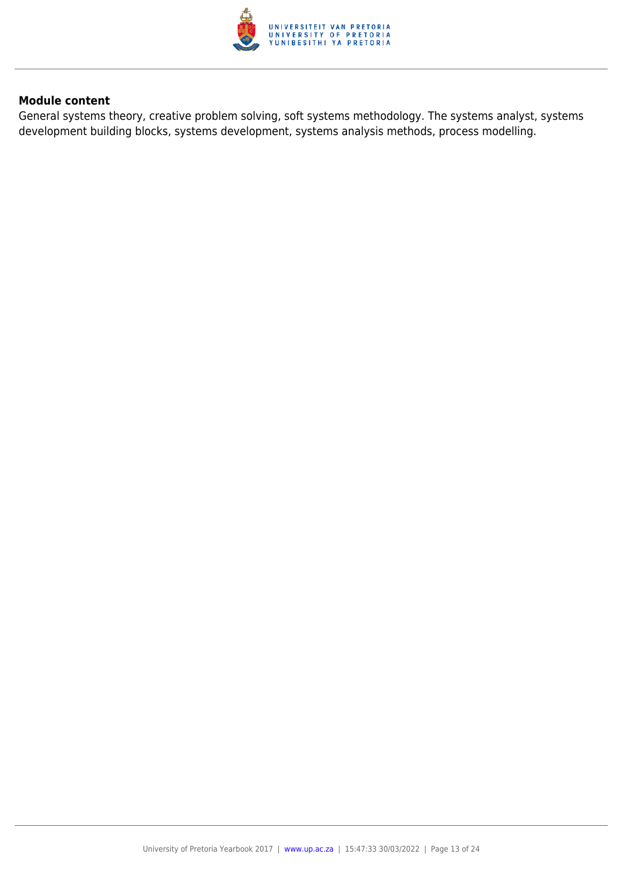

General systems theory, creative problem solving, soft systems methodology. The systems analyst, systems development building blocks, systems development, systems analysis methods, process modelling.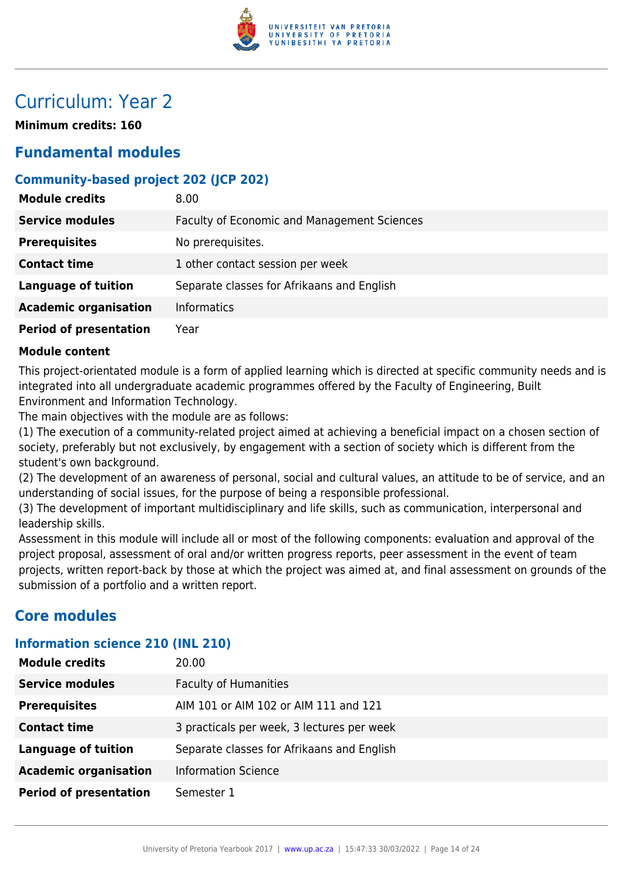

# Curriculum: Year 2

**Minimum credits: 160**

## **Fundamental modules**

### **Community-based project 202 (JCP 202)**

| <b>Module credits</b>         | 8.00                                        |
|-------------------------------|---------------------------------------------|
| <b>Service modules</b>        | Faculty of Economic and Management Sciences |
| <b>Prerequisites</b>          | No prerequisites.                           |
| <b>Contact time</b>           | 1 other contact session per week            |
| <b>Language of tuition</b>    | Separate classes for Afrikaans and English  |
| <b>Academic organisation</b>  | <b>Informatics</b>                          |
| <b>Period of presentation</b> | Year                                        |

#### **Module content**

This project-orientated module is a form of applied learning which is directed at specific community needs and is integrated into all undergraduate academic programmes offered by the Faculty of Engineering, Built Environment and Information Technology.

The main objectives with the module are as follows:

(1) The execution of a community-related project aimed at achieving a beneficial impact on a chosen section of society, preferably but not exclusively, by engagement with a section of society which is different from the student's own background.

(2) The development of an awareness of personal, social and cultural values, an attitude to be of service, and an understanding of social issues, for the purpose of being a responsible professional.

(3) The development of important multidisciplinary and life skills, such as communication, interpersonal and leadership skills.

Assessment in this module will include all or most of the following components: evaluation and approval of the project proposal, assessment of oral and/or written progress reports, peer assessment in the event of team projects, written report-back by those at which the project was aimed at, and final assessment on grounds of the submission of a portfolio and a written report.

## **Core modules**

#### **Information science 210 (INL 210)**

| <b>Module credits</b>         | 20.00                                      |
|-------------------------------|--------------------------------------------|
| <b>Service modules</b>        | <b>Faculty of Humanities</b>               |
| <b>Prerequisites</b>          | AIM 101 or AIM 102 or AIM 111 and 121      |
| <b>Contact time</b>           | 3 practicals per week, 3 lectures per week |
| <b>Language of tuition</b>    | Separate classes for Afrikaans and English |
| <b>Academic organisation</b>  | <b>Information Science</b>                 |
| <b>Period of presentation</b> | Semester 1                                 |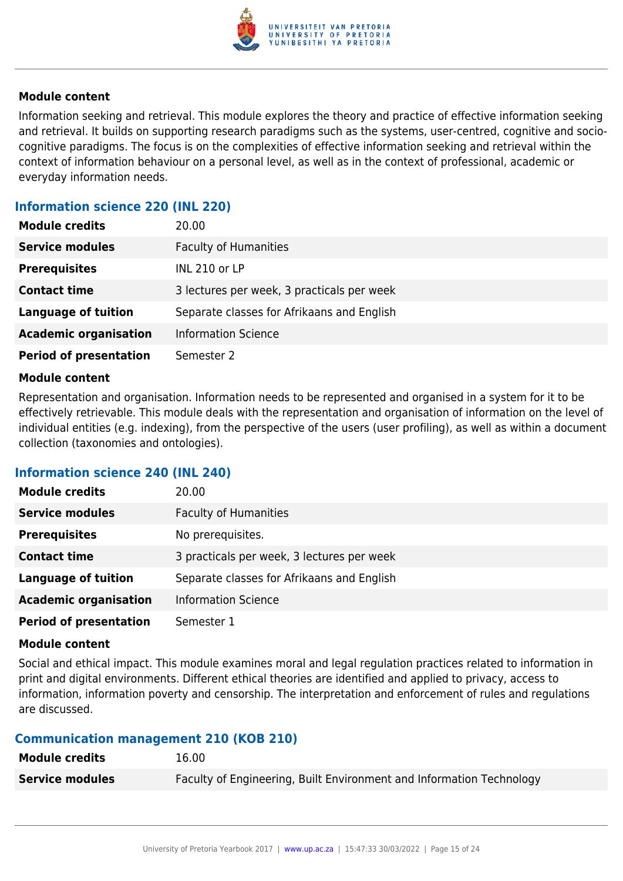

Information seeking and retrieval. This module explores the theory and practice of effective information seeking and retrieval. It builds on supporting research paradigms such as the systems, user-centred, cognitive and sociocognitive paradigms. The focus is on the complexities of effective information seeking and retrieval within the context of information behaviour on a personal level, as well as in the context of professional, academic or everyday information needs.

#### **Information science 220 (INL 220)**

| <b>Module credits</b>         | 20.00                                      |
|-------------------------------|--------------------------------------------|
| <b>Service modules</b>        | <b>Faculty of Humanities</b>               |
| <b>Prerequisites</b>          | <b>INL 210 or LP</b>                       |
| <b>Contact time</b>           | 3 lectures per week, 3 practicals per week |
| <b>Language of tuition</b>    | Separate classes for Afrikaans and English |
| <b>Academic organisation</b>  | <b>Information Science</b>                 |
| <b>Period of presentation</b> | Semester 2                                 |

#### **Module content**

Representation and organisation. Information needs to be represented and organised in a system for it to be effectively retrievable. This module deals with the representation and organisation of information on the level of individual entities (e.g. indexing), from the perspective of the users (user profiling), as well as within a document collection (taxonomies and ontologies).

#### **Information science 240 (INL 240)**

| <b>Module credits</b>         | 20.00                                      |
|-------------------------------|--------------------------------------------|
| <b>Service modules</b>        | <b>Faculty of Humanities</b>               |
| <b>Prerequisites</b>          | No prerequisites.                          |
| <b>Contact time</b>           | 3 practicals per week, 3 lectures per week |
| <b>Language of tuition</b>    | Separate classes for Afrikaans and English |
| <b>Academic organisation</b>  | <b>Information Science</b>                 |
| <b>Period of presentation</b> | Semester 1                                 |

#### **Module content**

Social and ethical impact. This module examines moral and legal regulation practices related to information in print and digital environments. Different ethical theories are identified and applied to privacy, access to information, information poverty and censorship. The interpretation and enforcement of rules and regulations are discussed.

#### **Communication management 210 (KOB 210)**

| <b>Module credits</b>  | 16.00                                                                |
|------------------------|----------------------------------------------------------------------|
| <b>Service modules</b> | Faculty of Engineering, Built Environment and Information Technology |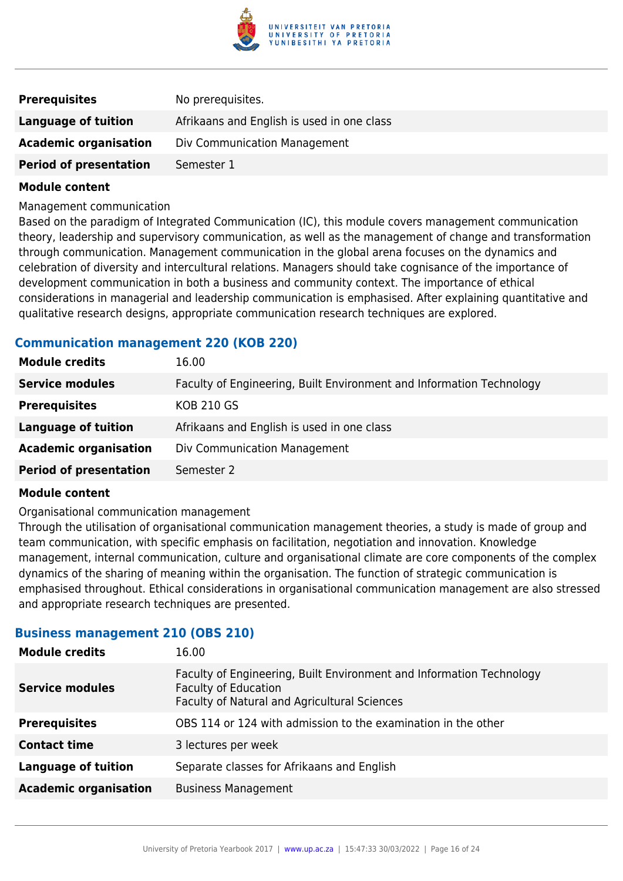

| <b>Prerequisites</b>          | No prerequisites.                          |
|-------------------------------|--------------------------------------------|
| Language of tuition           | Afrikaans and English is used in one class |
| <b>Academic organisation</b>  | Div Communication Management               |
| <b>Period of presentation</b> | Semester 1                                 |

Management communication

Based on the paradigm of Integrated Communication (IC), this module covers management communication theory, leadership and supervisory communication, as well as the management of change and transformation through communication. Management communication in the global arena focuses on the dynamics and celebration of diversity and intercultural relations. Managers should take cognisance of the importance of development communication in both a business and community context. The importance of ethical considerations in managerial and leadership communication is emphasised. After explaining quantitative and qualitative research designs, appropriate communication research techniques are explored.

#### **Communication management 220 (KOB 220)**

| <b>Module credits</b>         | 16.00                                                                |
|-------------------------------|----------------------------------------------------------------------|
| <b>Service modules</b>        | Faculty of Engineering, Built Environment and Information Technology |
| <b>Prerequisites</b>          | <b>KOB 210 GS</b>                                                    |
| <b>Language of tuition</b>    | Afrikaans and English is used in one class                           |
| <b>Academic organisation</b>  | Div Communication Management                                         |
| <b>Period of presentation</b> | Semester 2                                                           |

#### **Module content**

#### Organisational communication management

Through the utilisation of organisational communication management theories, a study is made of group and team communication, with specific emphasis on facilitation, negotiation and innovation. Knowledge management, internal communication, culture and organisational climate are core components of the complex dynamics of the sharing of meaning within the organisation. The function of strategic communication is emphasised throughout. Ethical considerations in organisational communication management are also stressed and appropriate research techniques are presented.

#### **Business management 210 (OBS 210)**

| <b>Module credits</b>        | 16.00                                                                                                                                               |
|------------------------------|-----------------------------------------------------------------------------------------------------------------------------------------------------|
| <b>Service modules</b>       | Faculty of Engineering, Built Environment and Information Technology<br><b>Faculty of Education</b><br>Faculty of Natural and Agricultural Sciences |
| <b>Prerequisites</b>         | OBS 114 or 124 with admission to the examination in the other                                                                                       |
| <b>Contact time</b>          | 3 lectures per week                                                                                                                                 |
| <b>Language of tuition</b>   | Separate classes for Afrikaans and English                                                                                                          |
| <b>Academic organisation</b> | <b>Business Management</b>                                                                                                                          |
|                              |                                                                                                                                                     |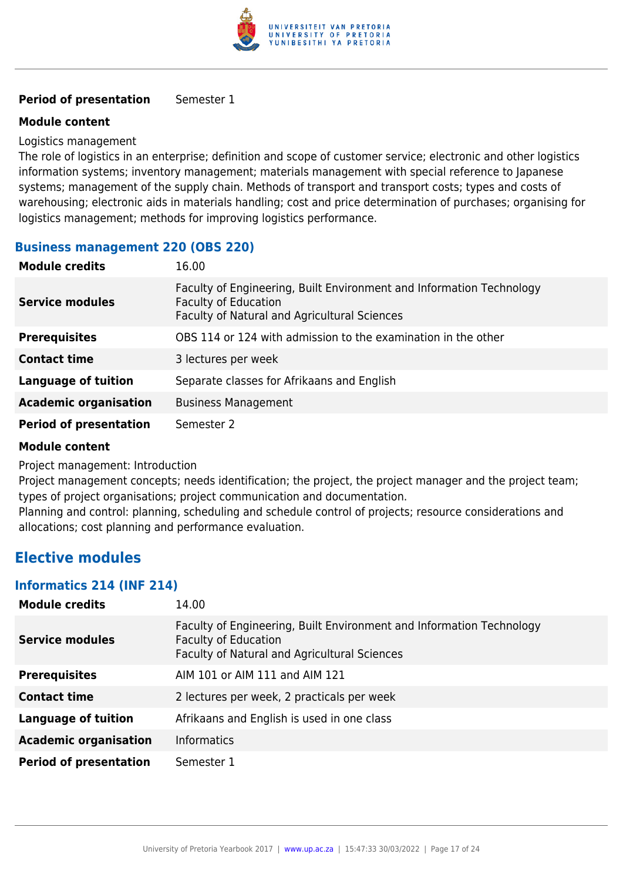

#### **Period of presentation** Semester 1

#### **Module content**

#### Logistics management

The role of logistics in an enterprise; definition and scope of customer service; electronic and other logistics information systems; inventory management; materials management with special reference to Japanese systems; management of the supply chain. Methods of transport and transport costs; types and costs of warehousing; electronic aids in materials handling; cost and price determination of purchases; organising for logistics management; methods for improving logistics performance.

#### **Business management 220 (OBS 220)**

| <b>Module credits</b>         | 16.00                                                                                                                                               |
|-------------------------------|-----------------------------------------------------------------------------------------------------------------------------------------------------|
| <b>Service modules</b>        | Faculty of Engineering, Built Environment and Information Technology<br><b>Faculty of Education</b><br>Faculty of Natural and Agricultural Sciences |
| <b>Prerequisites</b>          | OBS 114 or 124 with admission to the examination in the other                                                                                       |
| <b>Contact time</b>           | 3 lectures per week                                                                                                                                 |
| <b>Language of tuition</b>    | Separate classes for Afrikaans and English                                                                                                          |
| <b>Academic organisation</b>  | <b>Business Management</b>                                                                                                                          |
| <b>Period of presentation</b> | Semester 2                                                                                                                                          |

#### **Module content**

Project management: Introduction

Project management concepts; needs identification; the project, the project manager and the project team; types of project organisations; project communication and documentation.

Planning and control: planning, scheduling and schedule control of projects; resource considerations and allocations; cost planning and performance evaluation.

### **Elective modules**

#### **Informatics 214 (INF 214)**

| <b>Module credits</b>         | 14.00                                                                                                                                               |
|-------------------------------|-----------------------------------------------------------------------------------------------------------------------------------------------------|
| <b>Service modules</b>        | Faculty of Engineering, Built Environment and Information Technology<br><b>Faculty of Education</b><br>Faculty of Natural and Agricultural Sciences |
| <b>Prerequisites</b>          | AIM 101 or AIM 111 and AIM 121                                                                                                                      |
| <b>Contact time</b>           | 2 lectures per week, 2 practicals per week                                                                                                          |
| <b>Language of tuition</b>    | Afrikaans and English is used in one class                                                                                                          |
| <b>Academic organisation</b>  | <b>Informatics</b>                                                                                                                                  |
| <b>Period of presentation</b> | Semester 1                                                                                                                                          |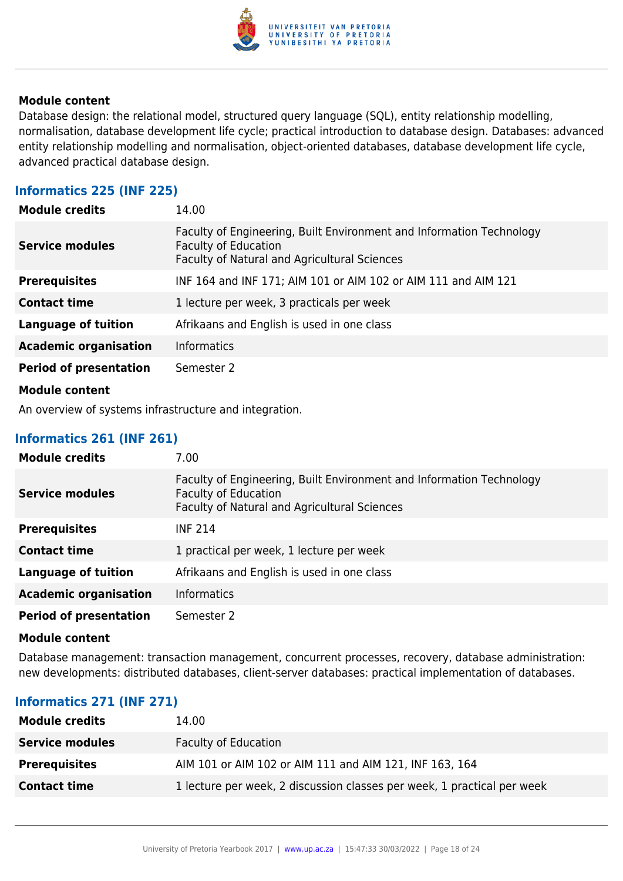

Database design: the relational model, structured query language (SQL), entity relationship modelling, normalisation, database development life cycle; practical introduction to database design. Databases: advanced entity relationship modelling and normalisation, object-oriented databases, database development life cycle, advanced practical database design.

#### **Informatics 225 (INF 225)**

| <b>Module credits</b>         | 14.00                                                                                                                                               |
|-------------------------------|-----------------------------------------------------------------------------------------------------------------------------------------------------|
| <b>Service modules</b>        | Faculty of Engineering, Built Environment and Information Technology<br><b>Faculty of Education</b><br>Faculty of Natural and Agricultural Sciences |
| <b>Prerequisites</b>          | INF 164 and INF 171; AIM 101 or AIM 102 or AIM 111 and AIM 121                                                                                      |
| <b>Contact time</b>           | 1 lecture per week, 3 practicals per week                                                                                                           |
| Language of tuition           | Afrikaans and English is used in one class                                                                                                          |
| <b>Academic organisation</b>  | <b>Informatics</b>                                                                                                                                  |
| <b>Period of presentation</b> | Semester 2                                                                                                                                          |
| <b>Module content</b>         |                                                                                                                                                     |

An overview of systems infrastructure and integration.

#### **Informatics 261 (INF 261)**

| <b>Module credits</b>         | 7.00                                                                                                                                                |
|-------------------------------|-----------------------------------------------------------------------------------------------------------------------------------------------------|
| <b>Service modules</b>        | Faculty of Engineering, Built Environment and Information Technology<br><b>Faculty of Education</b><br>Faculty of Natural and Agricultural Sciences |
| <b>Prerequisites</b>          | <b>INF 214</b>                                                                                                                                      |
| <b>Contact time</b>           | 1 practical per week, 1 lecture per week                                                                                                            |
| <b>Language of tuition</b>    | Afrikaans and English is used in one class                                                                                                          |
| <b>Academic organisation</b>  | <b>Informatics</b>                                                                                                                                  |
| <b>Period of presentation</b> | Semester 2                                                                                                                                          |

#### **Module content**

Database management: transaction management, concurrent processes, recovery, database administration: new developments: distributed databases, client-server databases: practical implementation of databases.

#### **Informatics 271 (INF 271)**

| <b>Module credits</b>  | 14.00                                                                   |
|------------------------|-------------------------------------------------------------------------|
| <b>Service modules</b> | <b>Faculty of Education</b>                                             |
| <b>Prerequisites</b>   | AIM 101 or AIM 102 or AIM 111 and AIM 121, INF 163, 164                 |
| <b>Contact time</b>    | 1 lecture per week, 2 discussion classes per week, 1 practical per week |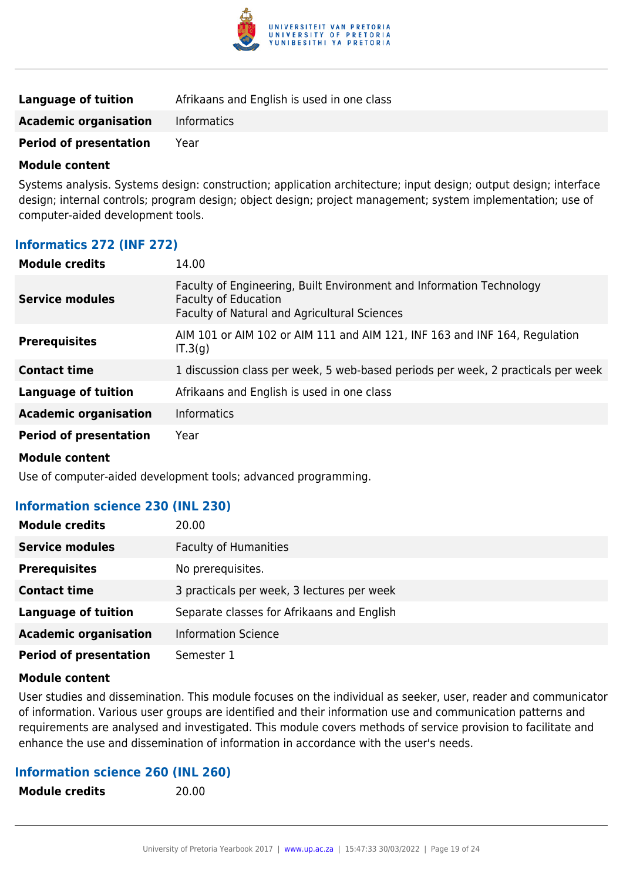

| Language of tuition           | Afrikaans and English is used in one class |
|-------------------------------|--------------------------------------------|
| <b>Academic organisation</b>  | Informatics                                |
| <b>Period of presentation</b> | Year                                       |

Systems analysis. Systems design: construction; application architecture; input design; output design; interface design; internal controls; program design; object design; project management; system implementation; use of computer-aided development tools.

#### **Informatics 272 (INF 272)**

| <b>Module credits</b>         | 14.00                                                                                                                                                      |  |
|-------------------------------|------------------------------------------------------------------------------------------------------------------------------------------------------------|--|
| <b>Service modules</b>        | Faculty of Engineering, Built Environment and Information Technology<br><b>Faculty of Education</b><br><b>Faculty of Natural and Agricultural Sciences</b> |  |
| <b>Prerequisites</b>          | AIM 101 or AIM 102 or AIM 111 and AIM 121, INF 163 and INF 164, Regulation<br>IT.3(g)                                                                      |  |
| <b>Contact time</b>           | 1 discussion class per week, 5 web-based periods per week, 2 practicals per week                                                                           |  |
| <b>Language of tuition</b>    | Afrikaans and English is used in one class                                                                                                                 |  |
| <b>Academic organisation</b>  | <b>Informatics</b>                                                                                                                                         |  |
| <b>Period of presentation</b> | Year                                                                                                                                                       |  |

#### **Module content**

Use of computer-aided development tools; advanced programming.

**Module credits** 20.00

#### **Information science 230 (INL 230)**

| <b>Module credits</b>         | 20.00                                      |
|-------------------------------|--------------------------------------------|
| <b>Service modules</b>        | <b>Faculty of Humanities</b>               |
| <b>Prerequisites</b>          | No prerequisites.                          |
| <b>Contact time</b>           | 3 practicals per week, 3 lectures per week |
| <b>Language of tuition</b>    | Separate classes for Afrikaans and English |
| <b>Academic organisation</b>  | <b>Information Science</b>                 |
| <b>Period of presentation</b> | Semester 1                                 |

#### **Module content**

User studies and dissemination. This module focuses on the individual as seeker, user, reader and communicator of information. Various user groups are identified and their information use and communication patterns and requirements are analysed and investigated. This module covers methods of service provision to facilitate and enhance the use and dissemination of information in accordance with the user's needs.

#### **Information science 260 (INL 260)**

| <b>Module credits</b> |  |
|-----------------------|--|
|                       |  |

University of Pretoria Yearbook 2017 | [www.up.ac.za](https://www.google.com/) | 15:47:33 30/03/2022 | Page 19 of 24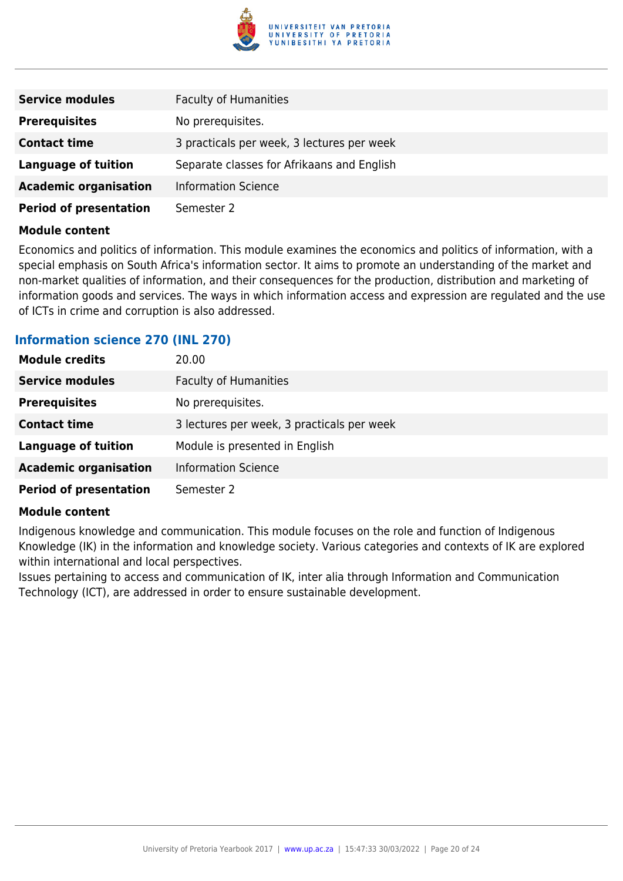

| <b>Service modules</b>        | <b>Faculty of Humanities</b>               |
|-------------------------------|--------------------------------------------|
| <b>Prerequisites</b>          | No prerequisites.                          |
| <b>Contact time</b>           | 3 practicals per week, 3 lectures per week |
| <b>Language of tuition</b>    | Separate classes for Afrikaans and English |
| <b>Academic organisation</b>  | <b>Information Science</b>                 |
| <b>Period of presentation</b> | Semester 2                                 |

Economics and politics of information. This module examines the economics and politics of information, with a special emphasis on South Africa's information sector. It aims to promote an understanding of the market and non-market qualities of information, and their consequences for the production, distribution and marketing of information goods and services. The ways in which information access and expression are regulated and the use of ICTs in crime and corruption is also addressed.

#### **Information science 270 (INL 270)**

| <b>Module credits</b>         | 20.00                                      |
|-------------------------------|--------------------------------------------|
| <b>Service modules</b>        | <b>Faculty of Humanities</b>               |
| <b>Prerequisites</b>          | No prerequisites.                          |
| <b>Contact time</b>           | 3 lectures per week, 3 practicals per week |
| <b>Language of tuition</b>    | Module is presented in English             |
| <b>Academic organisation</b>  | <b>Information Science</b>                 |
| <b>Period of presentation</b> | Semester 2                                 |

#### **Module content**

Indigenous knowledge and communication. This module focuses on the role and function of Indigenous Knowledge (IK) in the information and knowledge society. Various categories and contexts of IK are explored within international and local perspectives.

Issues pertaining to access and communication of IK, inter alia through Information and Communication Technology (ICT), are addressed in order to ensure sustainable development.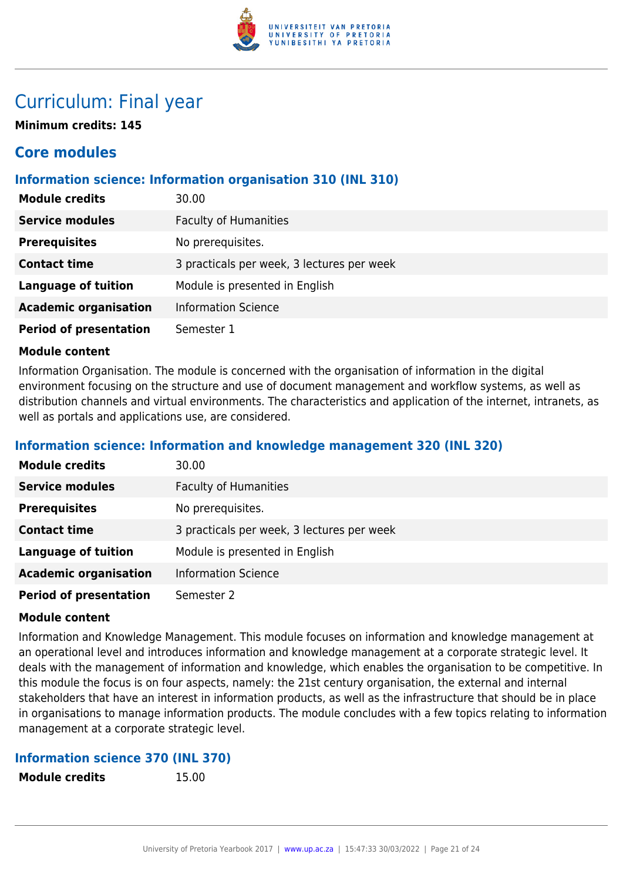

# Curriculum: Final year

**Minimum credits: 145**

# **Core modules**

#### **Information science: Information organisation 310 (INL 310)**

| <b>Module credits</b>         | 30.00                                      |
|-------------------------------|--------------------------------------------|
| <b>Service modules</b>        | <b>Faculty of Humanities</b>               |
| <b>Prerequisites</b>          | No prerequisites.                          |
| <b>Contact time</b>           | 3 practicals per week, 3 lectures per week |
| <b>Language of tuition</b>    | Module is presented in English             |
| <b>Academic organisation</b>  | <b>Information Science</b>                 |
| <b>Period of presentation</b> | Semester 1                                 |

#### **Module content**

Information Organisation. The module is concerned with the organisation of information in the digital environment focusing on the structure and use of document management and workflow systems, as well as distribution channels and virtual environments. The characteristics and application of the internet, intranets, as well as portals and applications use, are considered.

#### **Information science: Information and knowledge management 320 (INL 320)**

| <b>Module credits</b>         | 30.00                                      |
|-------------------------------|--------------------------------------------|
| <b>Service modules</b>        | <b>Faculty of Humanities</b>               |
| <b>Prerequisites</b>          | No prerequisites.                          |
| <b>Contact time</b>           | 3 practicals per week, 3 lectures per week |
| <b>Language of tuition</b>    | Module is presented in English             |
| <b>Academic organisation</b>  | <b>Information Science</b>                 |
| <b>Period of presentation</b> | Semester 2                                 |

#### **Module content**

Information and Knowledge Management. This module focuses on information and knowledge management at an operational level and introduces information and knowledge management at a corporate strategic level. It deals with the management of information and knowledge, which enables the organisation to be competitive. In this module the focus is on four aspects, namely: the 21st century organisation, the external and internal stakeholders that have an interest in information products, as well as the infrastructure that should be in place in organisations to manage information products. The module concludes with a few topics relating to information management at a corporate strategic level.

#### **Information science 370 (INL 370)**

**Module credits** 15.00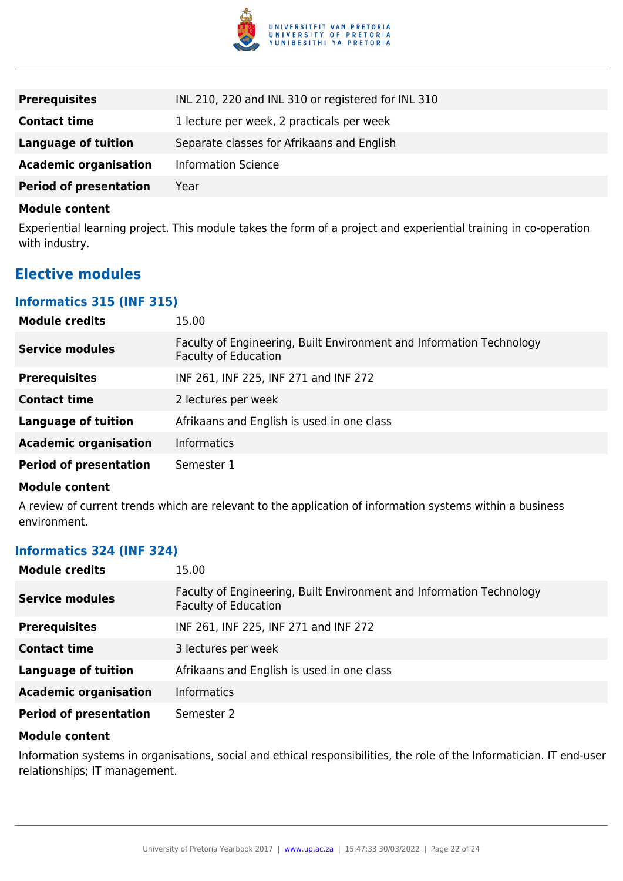

| <b>Prerequisites</b>          | INL 210, 220 and INL 310 or registered for INL 310 |
|-------------------------------|----------------------------------------------------|
| <b>Contact time</b>           | 1 lecture per week, 2 practicals per week          |
| <b>Language of tuition</b>    | Separate classes for Afrikaans and English         |
| <b>Academic organisation</b>  | <b>Information Science</b>                         |
| <b>Period of presentation</b> | Year                                               |

Experiential learning project. This module takes the form of a project and experiential training in co-operation with industry.

### **Elective modules**

#### **Informatics 315 (INF 315)**

| <b>Module credits</b>         | 15.00                                                                                               |
|-------------------------------|-----------------------------------------------------------------------------------------------------|
| <b>Service modules</b>        | Faculty of Engineering, Built Environment and Information Technology<br><b>Faculty of Education</b> |
| <b>Prerequisites</b>          | INF 261, INF 225, INF 271 and INF 272                                                               |
| <b>Contact time</b>           | 2 lectures per week                                                                                 |
| <b>Language of tuition</b>    | Afrikaans and English is used in one class                                                          |
| <b>Academic organisation</b>  | <b>Informatics</b>                                                                                  |
| <b>Period of presentation</b> | Semester 1                                                                                          |

#### **Module content**

A review of current trends which are relevant to the application of information systems within a business environment.

#### **Informatics 324 (INF 324)**

| <b>Module credits</b>         | 15.00                                                                                               |
|-------------------------------|-----------------------------------------------------------------------------------------------------|
| <b>Service modules</b>        | Faculty of Engineering, Built Environment and Information Technology<br><b>Faculty of Education</b> |
| <b>Prerequisites</b>          | INF 261, INF 225, INF 271 and INF 272                                                               |
| <b>Contact time</b>           | 3 lectures per week                                                                                 |
| <b>Language of tuition</b>    | Afrikaans and English is used in one class                                                          |
| <b>Academic organisation</b>  | <b>Informatics</b>                                                                                  |
| <b>Period of presentation</b> | Semester 2                                                                                          |

#### **Module content**

Information systems in organisations, social and ethical responsibilities, the role of the Informatician. IT end-user relationships; IT management.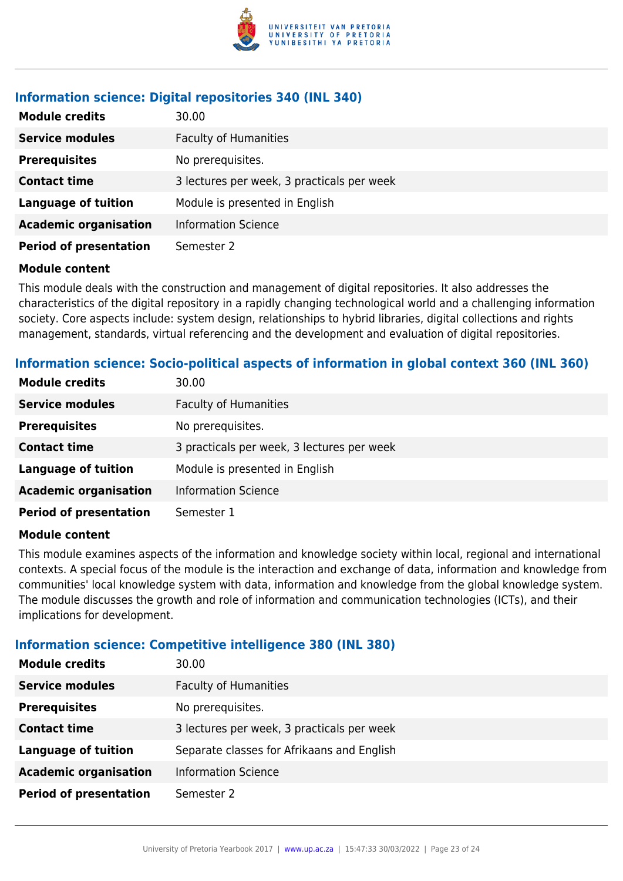

#### **Information science: Digital repositories 340 (INL 340)**

| <b>Module credits</b>         | 30.00                                      |
|-------------------------------|--------------------------------------------|
| <b>Service modules</b>        | <b>Faculty of Humanities</b>               |
| <b>Prerequisites</b>          | No prerequisites.                          |
| <b>Contact time</b>           | 3 lectures per week, 3 practicals per week |
| <b>Language of tuition</b>    | Module is presented in English             |
| <b>Academic organisation</b>  | <b>Information Science</b>                 |
| <b>Period of presentation</b> | Semester 2                                 |

#### **Module content**

This module deals with the construction and management of digital repositories. It also addresses the characteristics of the digital repository in a rapidly changing technological world and a challenging information society. Core aspects include: system design, relationships to hybrid libraries, digital collections and rights management, standards, virtual referencing and the development and evaluation of digital repositories.

#### **Information science: Socio-political aspects of information in global context 360 (INL 360)**

| <b>Module credits</b>         | 30.00                                      |
|-------------------------------|--------------------------------------------|
| <b>Service modules</b>        | <b>Faculty of Humanities</b>               |
| <b>Prerequisites</b>          | No prerequisites.                          |
| <b>Contact time</b>           | 3 practicals per week, 3 lectures per week |
| <b>Language of tuition</b>    | Module is presented in English             |
| <b>Academic organisation</b>  | <b>Information Science</b>                 |
| <b>Period of presentation</b> | Semester 1                                 |

#### **Module content**

This module examines aspects of the information and knowledge society within local, regional and international contexts. A special focus of the module is the interaction and exchange of data, information and knowledge from communities' local knowledge system with data, information and knowledge from the global knowledge system. The module discusses the growth and role of information and communication technologies (ICTs), and their implications for development.

#### **Information science: Competitive intelligence 380 (INL 380)**

| <b>Module credits</b>         | 30.00                                      |
|-------------------------------|--------------------------------------------|
| <b>Service modules</b>        | <b>Faculty of Humanities</b>               |
| <b>Prerequisites</b>          | No prerequisites.                          |
| <b>Contact time</b>           | 3 lectures per week, 3 practicals per week |
| <b>Language of tuition</b>    | Separate classes for Afrikaans and English |
| <b>Academic organisation</b>  | <b>Information Science</b>                 |
| <b>Period of presentation</b> | Semester 2                                 |